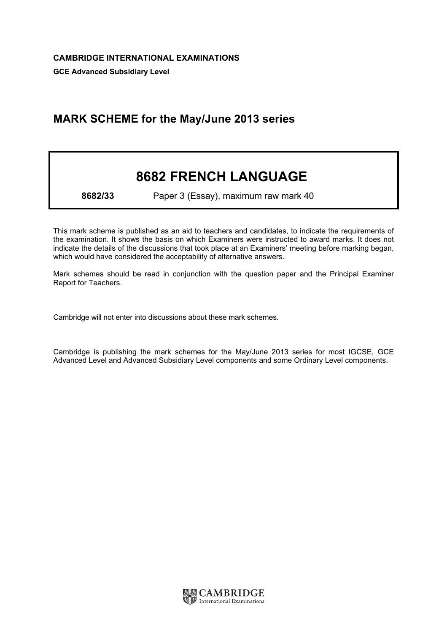## MARK SCHEME for the May/June 2013 series

## 8682 FRENCH LANGUAGE

8682/33 Paper 3 (Essay), maximum raw mark 40

This mark scheme is published as an aid to teachers and candidates, to indicate the requirements of the examination. It shows the basis on which Examiners were instructed to award marks. It does not indicate the details of the discussions that took place at an Examiners' meeting before marking began, which would have considered the acceptability of alternative answers.

Mark schemes should be read in conjunction with the question paper and the Principal Examiner Report for Teachers.

Cambridge will not enter into discussions about these mark schemes.

Cambridge is publishing the mark schemes for the May/June 2013 series for most IGCSE, GCE Advanced Level and Advanced Subsidiary Level components and some Ordinary Level components.